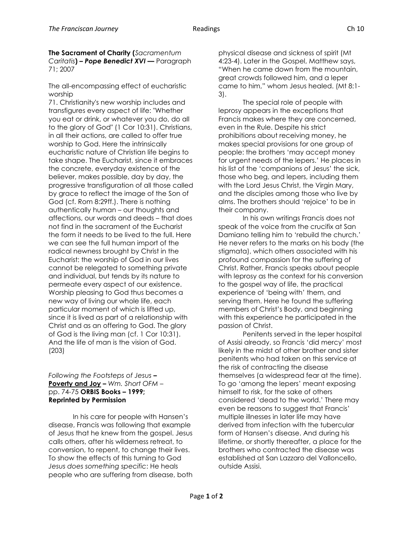**The Sacrament of Charity (***Sacramentum Caritatis***) –** *Pope Benedict XVI* **––** Paragraph 71; 2007

The all-encompassing effect of eucharistic worship

71. Christianity's new worship includes and transfigures every aspect of life: "Whether you eat or drink, or whatever you do, do all to the glory of God" (1 Cor 10:31). Christians, in all their actions, are called to offer true worship to God. Here the intrinsically eucharistic nature of Christian life begins to take shape. The Eucharist, since it embraces the concrete, everyday existence of the believer, makes possible, day by day, the progressive transfiguration of all those called by grace to reflect the image of the Son of God (cf. Rom 8:29ff.). There is nothing authentically human – our thoughts and affections, our words and deeds – that does not find in the sacrament of the Eucharist the form it needs to be lived to the full. Here we can see the full human import of the radical newness brought by Christ in the Eucharist: the worship of God in our lives cannot be relegated to something private and individual, but tends by its nature to permeate every aspect of our existence. Worship pleasing to God thus becomes a new way of living our whole life, each particular moment of which is lifted up, since it is lived as part of a relationship with Christ and as an offering to God. The glory of God is the living man (cf. 1 Cor 10:31). And the life of man is the vision of God. (203)

## *Following the Footsteps of Jesus* **– Poverty and Joy –** *Wm. Short OFM* – pp. 74-75 **ORBIS Books – 1999; Reprinted by Permission**

In his care for people with Hansen's disease, Francis was following that example of Jesus that he knew from the gospel. Jesus calls others, after his wilderness retreat, to conversion, to repent, to change their lives. To show the effects of this turning to God *Jesus does something specific*: He heals people who are suffering from disease, both physical disease and sickness of spirit (Mt 4:23-4). Later in the Gospel, Matthew says, "When he came down from the mountain, great crowds followed him, and a leper came to him," whom Jesus healed. (Mt 8:1- 3).

The special role of people with leprosy appears in the exceptions that Francis makes where they are concerned, even in the Rule. Despite his strict prohibitions about receiving money, he makes special provisions for one group of people: the brothers 'may accept money for urgent needs of the lepers.' He places in his list of the 'companions of Jesus' the sick, those who beg, and lepers, including them with the Lord Jesus Christ, the Virgin Mary, and the disciples among those who live by alms. The brothers should 'rejoice' to be in their company.

In his own writings Francis does not speak of the voice from the crucifix at San Damiano telling him to 'rebuild the church.' He never refers to the marks on his body (the stigmata), which others associated with his profound compassion for the suffering of Christ. Rather, Francis speaks about people with leprosy as the context for his conversion to the gospel way of life, the practical experience of 'being with' them, and serving them. Here he found the suffering members of Christ's Body, and beginning with this experience he participated in the passion of Christ.

Penitents served in the leper hospital of Assisi already, so Francis 'did mercy' most likely in the midst of other brother and sister penitents who had taken on this service at the risk of contracting the disease themselves (a widespread fear at the time). To go 'among the lepers' meant exposing himself to risk, for the sake of others considered 'dead to the world.' There may even be reasons to suggest that Francis' multiple illnesses in later life may have derived from infection with the tubercular form of Hansen's disease. And during his lifetime, or shortly thereafter, a place for the brothers who contracted the disease was established at San Lazzaro del Valloncello, outside Assisi.